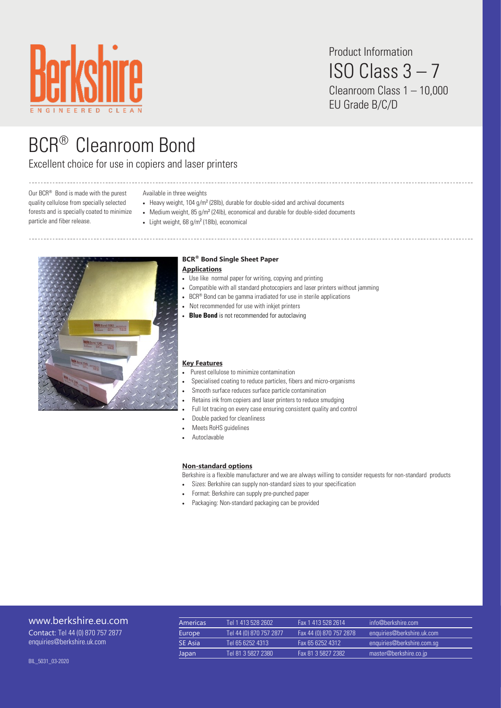

Product Information ISO Class 3 – 7 Cleanroom Class 1 – 10,000 EU Grade B/C/D

# BCR® Cleanroom Bond

Excellent choice for use in copiers and laser printers

Our BCR® Bond is made with the purest quality cellulose from specially selected forests and is specially coated to minimize particle and fiber release.

#### Available in three weights

- Heavy weight, 104 g/m<sup>2</sup> (28lb), durable for double-sided and archival documents
- Medium weight,  $85 g/m^2$  (24lb), economical and durable for double-sided documents
- $\bullet$  Light weight, 68 g/m<sup>2</sup> (18lb), economical



## **BCR® Bond Single Sheet Paper Applications**

- Use like normal paper for writing, copying and printing
- Compatible with all standard photocopiers and laser printers without jamming
- BCR® Bond can be gamma irradiated for use in sterile applications
- Not recommended for use with inkjet printers
- **Blue Bond** is not recommended for autoclaving

## **Key Features**

- Purest cellulose to minimize contamination
- Specialised coating to reduce particles, fibers and micro-organisms
- Smooth surface reduces surface particle contamination
- Retains ink from copiers and laser printers to reduce smudging
- Full lot tracing on every case ensuring consistent quality and control
- Double packed for cleanliness
- Meets RoHS guidelines
- Autoclavable

## **Non-standard options**

Berkshire is a flexible manufacturer and we are always willing to consider requests for non-standard products

- Sizes: Berkshire can supply non-standard sizes to your specification
- Format: Berkshire can supply pre-punched paper
- Packaging: Non-standard packaging can be provided

## [www.berkshire.eu.com](http://www.berkshire.com)

Contact: Tel 44 (0) 870 757 2877 enquiries@berkshire.uk.com

| Americas       | Tel 1 413 528 2602      | Fax 1 413 528 2614      | info@berkshire.com         |
|----------------|-------------------------|-------------------------|----------------------------|
| Europe         | Tel 44 (0) 870 757 2877 | Fax 44 (0) 870 757 2878 | enquiries@berkshire.uk.com |
| <b>SE Asia</b> | Tel 65 6252 4313        | Fax 65 6252 4312        | enquiries@berkshire.com.sq |
| Japan          | Tel 81 3 5827 2380      | Fax 81 3 5827 2382      | master@berkshire.co.jp     |